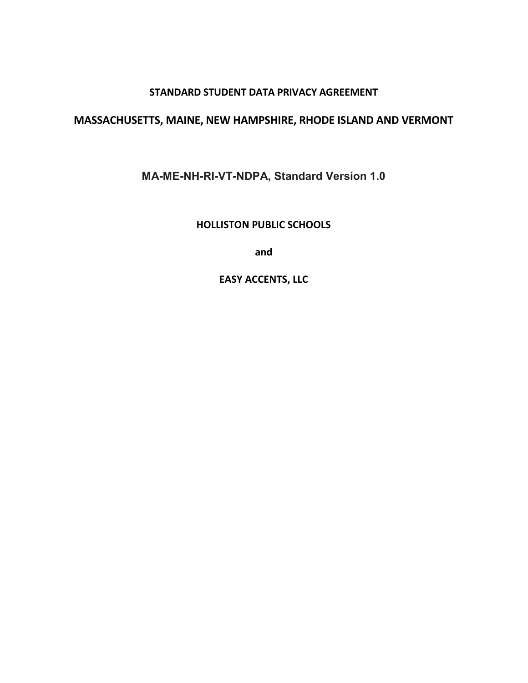#### **STANDARD STUDENT DATA PRIVACY AGREEMENT**

### **MASSACHUSETTS, MAINE, NEW HAMPSHIRE, RHODE ISLAND AND VERMONT**

**MA-ME-NH-RI-VT-NDPA, Standard Version 1.0**

**HOLLISTON PUBLIC SCHOOLS** 

**and** 

**EASY ACCENTS, LLC**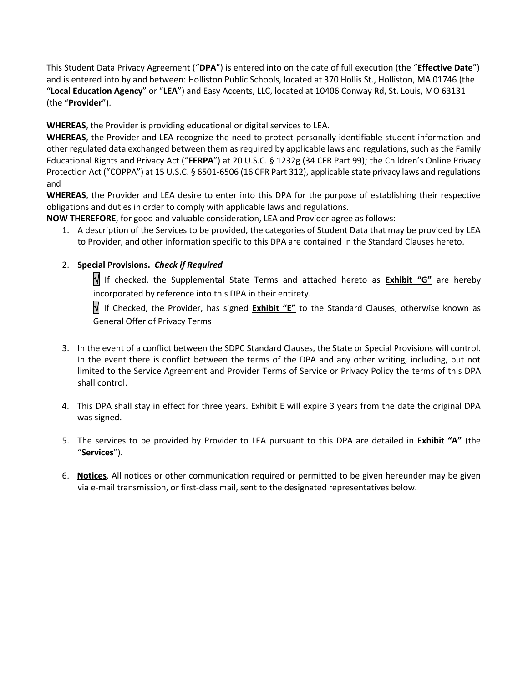This Student Data Privacy Agreement ("**DPA**") is entered into on the date of full execution (the "**Effective Date**") and is entered into by and between: Holliston Public Schools, located at 370 Hollis St., Holliston, MA 01746 (the "**Local Education Agency**" or "**LEA**") and Easy Accents, LLC, located at 10406 Conway Rd, St. Louis, MO 63131 (the "**Provider**").

**WHEREAS**, the Provider is providing educational or digital services to LEA.

**WHEREAS**, the Provider and LEA recognize the need to protect personally identifiable student information and other regulated data exchanged between them as required by applicable laws and regulations, such as the Family Educational Rights and Privacy Act ("**FERPA**") at 20 U.S.C. § 1232g (34 CFR Part 99); the Children's Online Privacy Protection Act ("COPPA") at 15 U.S.C. § 6501-6506 (16 CFR Part 312), applicable state privacy laws and regulations and

**WHEREAS**, the Provider and LEA desire to enter into this DPA for the purpose of establishing their respective obligations and duties in order to comply with applicable laws and regulations.

**NOW THEREFORE**, for good and valuable consideration, LEA and Provider agree as follows:

1. A description of the Services to be provided, the categories of Student Data that may be provided by LEA to Provider, and other information specific to this DPA are contained in the Standard Clauses hereto.

#### 2. **Special Provisions.** *Check if Required*

 If checked, the Supplemental State Terms and attached hereto as **Exhibit "G"** are hereby incorporated by reference into this DPA in their entirety.

 If Checked, the Provider, has signed **Exhibit "E"** to the Standard Clauses, otherwise known as General Offer of Privacy Terms

- 3. In the event of a conflict between the SDPC Standard Clauses, the State or Special Provisions will control. In the event there is conflict between the terms of the DPA and any other writing, including, but not limited to the Service Agreement and Provider Terms of Service or Privacy Policy the terms of this DPA shall control.
- 4. This DPA shall stay in effect for three years. Exhibit E will expire 3 years from the date the original DPA was signed.
- 5. The services to be provided by Provider to LEA pursuant to this DPA are detailed in **Exhibit "A"** (the "**Services**").
- 6. **Notices**. All notices or other communication required or permitted to be given hereunder may be given via e-mail transmission, or first-class mail, sent to the designated representatives below.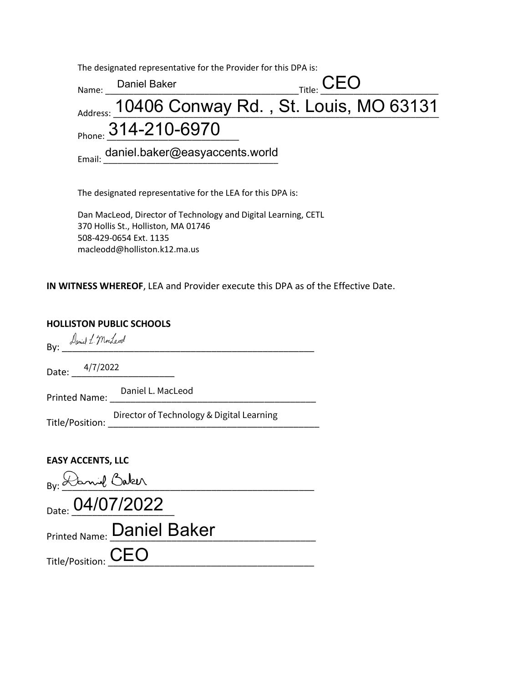The designated representative for the Provider for this DPA is:

| Name: | Daniel Baker                                   | $_{\sf Title:}$ $\sf CEO$ |  |
|-------|------------------------------------------------|---------------------------|--|
|       | Address: 10406 Conway Rd., St. Louis, MO 63131 |                           |  |
|       | Phone: 314-210-6970                            |                           |  |
|       | Email: daniel.baker@easyaccents.world          |                           |  |

The designated representative for the LEA for this DPA is:

Dan MacLeod, Director of Technology and Digital Learning, CETL 370 Hollis St., Holliston, MA 01746 508-429-0654 Ext. 1135 macleodd@holliston.k12.ma.us

**IN WITNESS WHEREOF**, LEA and Provider execute this DPA as of the Effective Date.

#### **HOLLISTON PUBLIC SCHOOLS**

| By: Laniel L. Mordeval                    |
|-------------------------------------------|
| Date: $\frac{4/7/2022}{2}$                |
| Printed Name: Daniel L. MacLeod           |
| Director of Technology & Digital Learning |
| <b>EASY ACCENTS, LLC</b>                  |
| BV: Daniel Baker                          |
| Date: 04/07/2022                          |
| Printed Name: Daniel Baker                |
| Title/Position: CEO                       |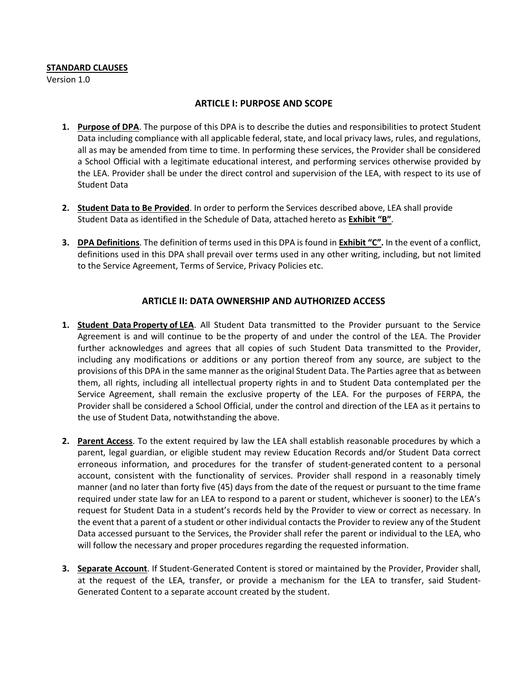#### **STANDARD CLAUSES**

Version 1.0

#### **ARTICLE I: PURPOSE AND SCOPE**

- **1. Purpose of DPA**. The purpose of this DPA is to describe the duties and responsibilities to protect Student Data including compliance with all applicable federal, state, and local privacy laws, rules, and regulations, all as may be amended from time to time. In performing these services, the Provider shall be considered a School Official with a legitimate educational interest, and performing services otherwise provided by the LEA. Provider shall be under the direct control and supervision of the LEA, with respect to its use of Student Data
- **2. Student Data to Be Provided**. In order to perform the Services described above, LEA shall provide Student Data as identified in the Schedule of Data, attached hereto as **Exhibit "B"**.
- **3. DPA Definitions**. The definition of terms used in this DPA is found in **Exhibit "C".** In the event of a conflict, definitions used in this DPA shall prevail over terms used in any other writing, including, but not limited to the Service Agreement, Terms of Service, Privacy Policies etc.

#### **ARTICLE II: DATA OWNERSHIP AND AUTHORIZED ACCESS**

- **1. Student Data Property of LEA**. All Student Data transmitted to the Provider pursuant to the Service Agreement is and will continue to be the property of and under the control of the LEA. The Provider further acknowledges and agrees that all copies of such Student Data transmitted to the Provider, including any modifications or additions or any portion thereof from any source, are subject to the provisions of this DPA in the same manner asthe original Student Data. The Parties agree that as between them, all rights, including all intellectual property rights in and to Student Data contemplated per the Service Agreement, shall remain the exclusive property of the LEA. For the purposes of FERPA, the Provider shall be considered a School Official, under the control and direction of the LEA as it pertains to the use of Student Data, notwithstanding the above.
- **2. Parent Access**. To the extent required by law the LEA shall establish reasonable procedures by which a parent, legal guardian, or eligible student may review Education Records and/or Student Data correct erroneous information, and procedures for the transfer of student-generated content to a personal account, consistent with the functionality of services. Provider shall respond in a reasonably timely manner (and no later than forty five (45) days from the date of the request or pursuant to the time frame required under state law for an LEA to respond to a parent or student, whichever is sooner) to the LEA's request for Student Data in a student's records held by the Provider to view or correct as necessary. In the event that a parent of a student or other individual contacts the Provider to review any of the Student Data accessed pursuant to the Services, the Provider shall refer the parent or individual to the LEA, who will follow the necessary and proper procedures regarding the requested information.
- **3.** Separate Account. If Student-Generated Content is stored or maintained by the Provider, Provider shall, at the request of the LEA, transfer, or provide a mechanism for the LEA to transfer, said Student-Generated Content to a separate account created by the student.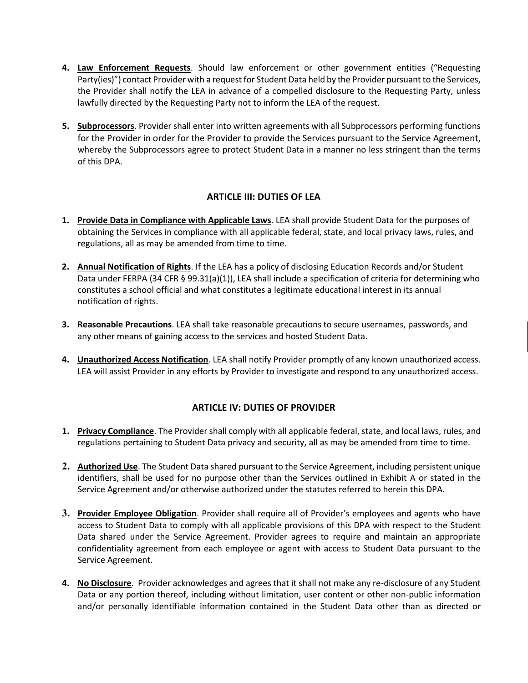- **4. Law Enforcement Requests**. Should law enforcement or other government entities ("Requesting Party(ies)") contact Provider with a request for Student Data held by the Provider pursuant to the Services, the Provider shall notify the LEA in advance of a compelled disclosure to the Requesting Party, unless lawfully directed by the Requesting Party not to inform the LEA of the request.
- **5. Subprocessors**. Provider shall enter into written agreements with all Subprocessors performing functions for the Provider in order for the Provider to provide the Services pursuant to the Service Agreement, whereby the Subprocessors agree to protect Student Data in a manner no less stringent than the terms of this DPA.

#### **ARTICLE III: DUTIES OF LEA**

- **1. Provide Data in Compliance with Applicable Laws**. LEA shall provide Student Data for the purposes of obtaining the Services in compliance with all applicable federal, state, and local privacy laws, rules, and regulations, all as may be amended from time to time.
- **2. Annual Notification of Rights**. If the LEA has a policy of disclosing Education Records and/or Student Data under FERPA (34 CFR § 99.31(a)(1)), LEA shall include a specification of criteria for determining who constitutes a school official and what constitutes a legitimate educational interest in its annual notification of rights.
- **3. Reasonable Precautions**. LEA shall take reasonable precautions to secure usernames, passwords, and any other means of gaining access to the services and hosted Student Data.
- **4. Unauthorized Access Notification**. LEA shall notify Provider promptly of any known unauthorized access. LEA will assist Provider in any efforts by Provider to investigate and respond to any unauthorized access.

#### **ARTICLE IV: DUTIES OF PROVIDER**

- **1. Privacy Compliance**. The Provider shall comply with all applicable federal, state, and local laws, rules, and regulations pertaining to Student Data privacy and security, all as may be amended from time to time.
- **2. Authorized Use**. The Student Data shared pursuant to the Service Agreement, including persistent unique identifiers, shall be used for no purpose other than the Services outlined in Exhibit A or stated in the Service Agreement and/or otherwise authorized under the statutes referred to herein this DPA.
- **3. Provider Employee Obligation**. Provider shall require all of Provider's employees and agents who have access to Student Data to comply with all applicable provisions of this DPA with respect to the Student Data shared under the Service Agreement. Provider agrees to require and maintain an appropriate confidentiality agreement from each employee or agent with access to Student Data pursuant to the Service Agreement.
- **4.** No Disclosure. Provider acknowledges and agrees that it shall not make any re-disclosure of any Student Data or any portion thereof, including without limitation, user content or other non-public information and/or personally identifiable information contained in the Student Data other than as directed or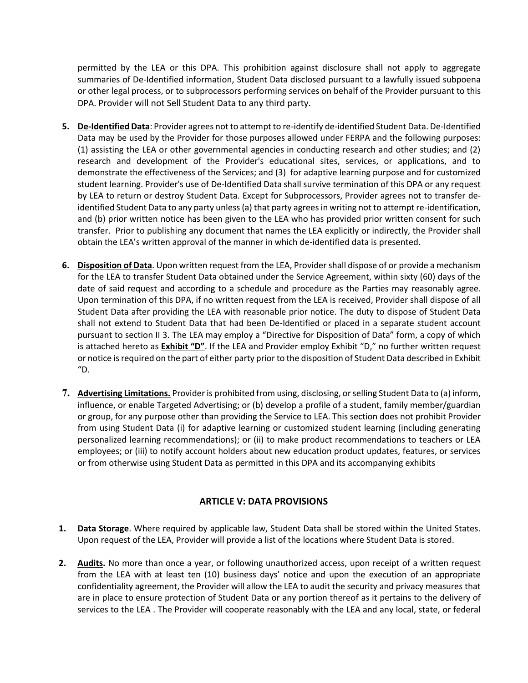permitted by the LEA or this DPA. This prohibition against disclosure shall not apply to aggregate summaries of De-Identified information, Student Data disclosed pursuant to a lawfully issued subpoena or other legal process, or to subprocessors performing services on behalf of the Provider pursuant to this DPA. Provider will not Sell Student Data to any third party.

- **5. De-Identified Data**: Provider agrees not to attempt to re-identify de-identified Student Data. De-Identified Data may be used by the Provider for those purposes allowed under FERPA and the following purposes: (1) assisting the LEA or other governmental agencies in conducting research and other studies; and (2) research and development of the Provider's educational sites, services, or applications, and to demonstrate the effectiveness of the Services; and (3) for adaptive learning purpose and for customized student learning. Provider's use of De-Identified Data shall survive termination of this DPA or any request by LEA to return or destroy Student Data. Except for Subprocessors, Provider agrees not to transfer deidentified Student Data to any party unless (a) that party agrees in writing not to attempt re-identification, and (b) prior written notice has been given to the LEA who has provided prior written consent for such transfer. Prior to publishing any document that names the LEA explicitly or indirectly, the Provider shall obtain the LEA's written approval of the manner in which de-identified data is presented.
- **6. Disposition of Data**. Upon written request from the LEA, Provider shall dispose of or provide a mechanism for the LEA to transfer Student Data obtained under the Service Agreement, within sixty (60) days of the date of said request and according to a schedule and procedure as the Parties may reasonably agree. Upon termination of this DPA, if no written request from the LEA is received, Provider shall dispose of all Student Data after providing the LEA with reasonable prior notice. The duty to dispose of Student Data shall not extend to Student Data that had been De-Identified or placed in a separate student account pursuant to section II 3. The LEA may employ a "Directive for Disposition of Data" form, a copy of which is attached hereto as **Exhibit "D"**. If the LEA and Provider employ Exhibit "D," no further written request or notice isrequired on the part of either party prior to the disposition of Student Data described in Exhibit "D.
- **7. Advertising Limitations.** Provider is prohibited from using, disclosing, orselling Student Data to (a) inform, influence, or enable Targeted Advertising; or (b) develop a profile of a student, family member/guardian or group, for any purpose other than providing the Service to LEA. This section does not prohibit Provider from using Student Data (i) for adaptive learning or customized student learning (including generating personalized learning recommendations); or (ii) to make product recommendations to teachers or LEA employees; or (iii) to notify account holders about new education product updates, features, or services or from otherwise using Student Data as permitted in this DPA and its accompanying exhibits

#### **ARTICLE V: DATA PROVISIONS**

- **1. Data Storage**. Where required by applicable law, Student Data shall be stored within the United States. Upon request of the LEA, Provider will provide a list of the locations where Student Data is stored.
- **2. Audits.** No more than once a year, or following unauthorized access, upon receipt of a written request from the LEA with at least ten (10) business days' notice and upon the execution of an appropriate confidentiality agreement, the Provider will allow the LEA to audit the security and privacy measures that are in place to ensure protection of Student Data or any portion thereof as it pertains to the delivery of services to the LEA . The Provider will cooperate reasonably with the LEA and any local, state, or federal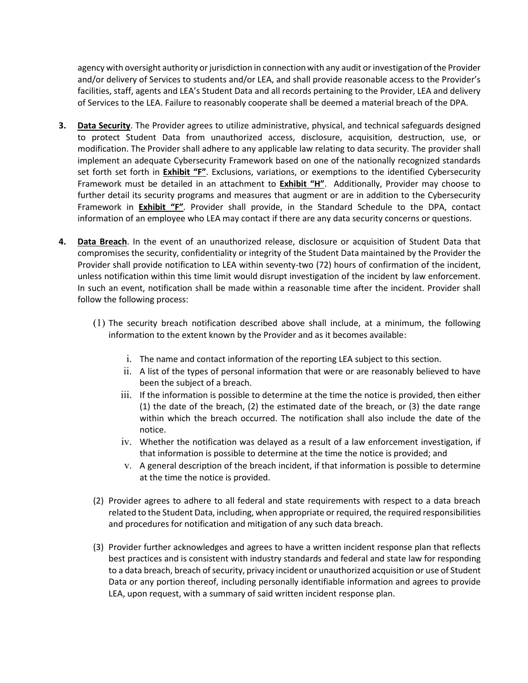agency with oversight authority or jurisdiction in connection with any audit or investigation of the Provider and/or delivery of Services to students and/or LEA, and shall provide reasonable access to the Provider's facilities, staff, agents and LEA's Student Data and all records pertaining to the Provider, LEA and delivery of Services to the LEA. Failure to reasonably cooperate shall be deemed a material breach of the DPA.

- **3. Data Security**. The Provider agrees to utilize administrative, physical, and technical safeguards designed to protect Student Data from unauthorized access, disclosure, acquisition, destruction, use, or modification. The Provider shall adhere to any applicable law relating to data security. The provider shall implement an adequate Cybersecurity Framework based on one of the nationally recognized standards set forth set forth in **Exhibit "F"**. Exclusions, variations, or exemptions to the identified Cybersecurity Framework must be detailed in an attachment to **Exhibit "H"**. Additionally, Provider may choose to further detail its security programs and measures that augment or are in addition to the Cybersecurity Framework in **Exhibit "F"**. Provider shall provide, in the Standard Schedule to the DPA, contact information of an employee who LEA may contact if there are any data security concerns or questions.
- **4. Data Breach**. In the event of an unauthorized release, disclosure or acquisition of Student Data that compromises the security, confidentiality or integrity of the Student Data maintained by the Provider the Provider shall provide notification to LEA within seventy-two (72) hours of confirmation of the incident, unless notification within this time limit would disrupt investigation of the incident by law enforcement. In such an event, notification shall be made within a reasonable time after the incident. Provider shall follow the following process:
	- (1) The security breach notification described above shall include, at a minimum, the following information to the extent known by the Provider and as it becomes available:
		- i. The name and contact information of the reporting LEA subject to this section.
		- ii. A list of the types of personal information that were or are reasonably believed to have been the subject of a breach.
		- iii. If the information is possible to determine at the time the notice is provided, then either (1) the date of the breach, (2) the estimated date of the breach, or (3) the date range within which the breach occurred. The notification shall also include the date of the notice.
		- iv. Whether the notification was delayed as a result of a law enforcement investigation, if that information is possible to determine at the time the notice is provided; and
		- v. A general description of the breach incident, if that information is possible to determine at the time the notice is provided.
	- (2) Provider agrees to adhere to all federal and state requirements with respect to a data breach related to the Student Data, including, when appropriate or required, the required responsibilities and procedures for notification and mitigation of any such data breach.
	- (3) Provider further acknowledges and agrees to have a written incident response plan that reflects best practices and is consistent with industry standards and federal and state law for responding to a data breach, breach of security, privacy incident or unauthorized acquisition or use of Student Data or any portion thereof, including personally identifiable information and agrees to provide LEA, upon request, with a summary of said written incident response plan.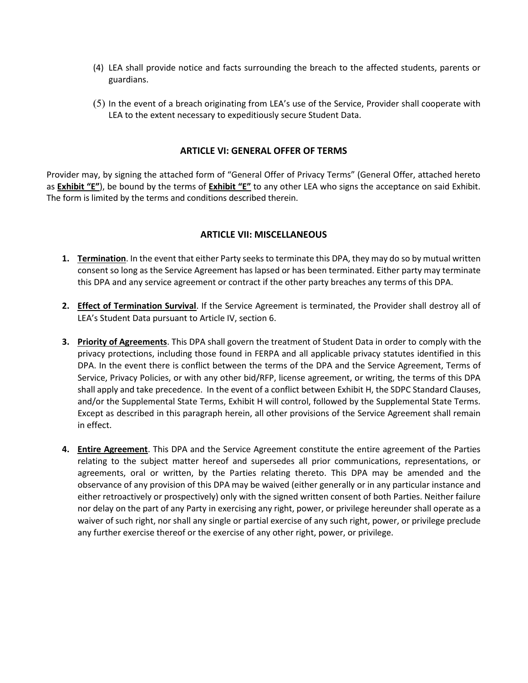- (4) LEA shall provide notice and facts surrounding the breach to the affected students, parents or guardians.
- (5) In the event of a breach originating from LEA's use of the Service, Provider shall cooperate with LEA to the extent necessary to expeditiously secure Student Data.

#### **ARTICLE VI: GENERAL OFFER OF TERMS**

Provider may, by signing the attached form of "General Offer of Privacy Terms" (General Offer, attached hereto as **Exhibit "E"**), be bound by the terms of **Exhibit "E"** to any other LEA who signs the acceptance on said Exhibit. The form is limited by the terms and conditions described therein.

#### **ARTICLE VII: MISCELLANEOUS**

- **1. Termination**. In the event that either Party seeks to terminate this DPA, they may do so by mutual written consent so long as the Service Agreement has lapsed or has been terminated. Either party may terminate this DPA and any service agreement or contract if the other party breaches any terms of this DPA.
- **2. Effect of Termination Survival**. If the Service Agreement is terminated, the Provider shall destroy all of LEA's Student Data pursuant to Article IV, section 6.
- **3. Priority of Agreements**. This DPA shall govern the treatment of Student Data in order to comply with the privacy protections, including those found in FERPA and all applicable privacy statutes identified in this DPA. In the event there is conflict between the terms of the DPA and the Service Agreement, Terms of Service, Privacy Policies, or with any other bid/RFP, license agreement, or writing, the terms of this DPA shall apply and take precedence. In the event of a conflict between Exhibit H, the SDPC Standard Clauses, and/or the Supplemental State Terms, Exhibit H will control, followed by the Supplemental State Terms. Except as described in this paragraph herein, all other provisions of the Service Agreement shall remain in effect.
- **4. Entire Agreement**. This DPA and the Service Agreement constitute the entire agreement of the Parties relating to the subject matter hereof and supersedes all prior communications, representations, or agreements, oral or written, by the Parties relating thereto. This DPA may be amended and the observance of any provision of this DPA may be waived (either generally or in any particular instance and either retroactively or prospectively) only with the signed written consent of both Parties. Neither failure nor delay on the part of any Party in exercising any right, power, or privilege hereunder shall operate as a waiver of such right, nor shall any single or partial exercise of any such right, power, or privilege preclude any further exercise thereof or the exercise of any other right, power, or privilege.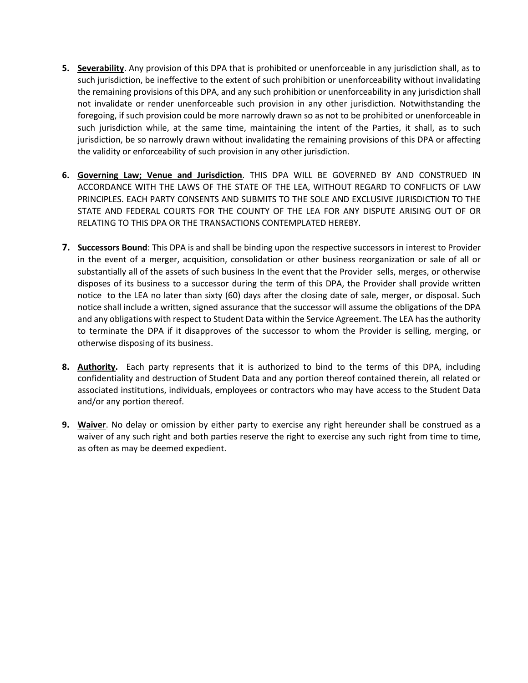- **5. Severability**. Any provision of this DPA that is prohibited or unenforceable in any jurisdiction shall, as to such jurisdiction, be ineffective to the extent of such prohibition or unenforceability without invalidating the remaining provisions of this DPA, and any such prohibition or unenforceability in any jurisdiction shall not invalidate or render unenforceable such provision in any other jurisdiction. Notwithstanding the foregoing, if such provision could be more narrowly drawn so as not to be prohibited or unenforceable in such jurisdiction while, at the same time, maintaining the intent of the Parties, it shall, as to such jurisdiction, be so narrowly drawn without invalidating the remaining provisions of this DPA or affecting the validity or enforceability of such provision in any other jurisdiction.
- **6. Governing Law; Venue and Jurisdiction**. THIS DPA WILL BE GOVERNED BY AND CONSTRUED IN ACCORDANCE WITH THE LAWS OF THE STATE OF THE LEA, WITHOUT REGARD TO CONFLICTS OF LAW PRINCIPLES. EACH PARTY CONSENTS AND SUBMITS TO THE SOLE AND EXCLUSIVE JURISDICTION TO THE STATE AND FEDERAL COURTS FOR THE COUNTY OF THE LEA FOR ANY DISPUTE ARISING OUT OF OR RELATING TO THIS DPA OR THE TRANSACTIONS CONTEMPLATED HEREBY.
- **7. Successors Bound**: This DPA is and shall be binding upon the respective successors in interest to Provider in the event of a merger, acquisition, consolidation or other business reorganization or sale of all or substantially all of the assets of such business In the event that the Provider sells, merges, or otherwise disposes of its business to a successor during the term of this DPA, the Provider shall provide written notice to the LEA no later than sixty (60) days after the closing date of sale, merger, or disposal. Such notice shall include a written, signed assurance that the successor will assume the obligations of the DPA and any obligations with respect to Student Data within the Service Agreement. The LEA has the authority to terminate the DPA if it disapproves of the successor to whom the Provider is selling, merging, or otherwise disposing of its business.
- **8. Authority.** Each party represents that it is authorized to bind to the terms of this DPA, including confidentiality and destruction of Student Data and any portion thereof contained therein, all related or associated institutions, individuals, employees or contractors who may have access to the Student Data and/or any portion thereof.
- **9. Waiver**. No delay or omission by either party to exercise any right hereunder shall be construed as a waiver of any such right and both parties reserve the right to exercise any such right from time to time, as often as may be deemed expedient.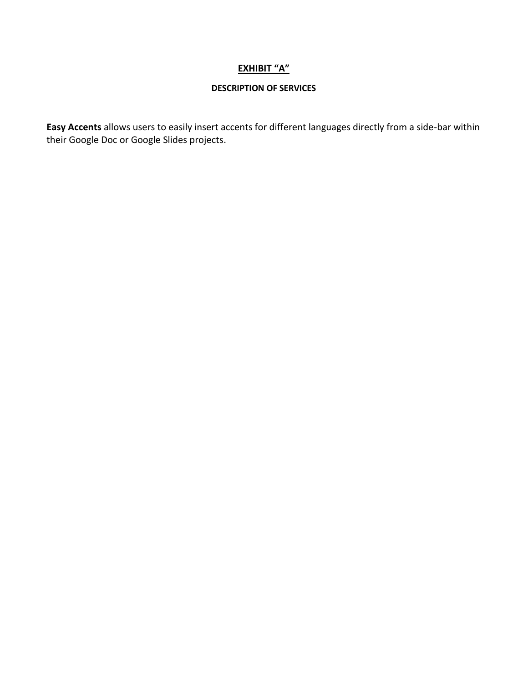#### **EXHIBIT "A"**

#### **DESCRIPTION OF SERVICES**

Easy Accents allows users to easily insert accents for different languages directly from a side-bar within their Google Doc or Google Slides projects.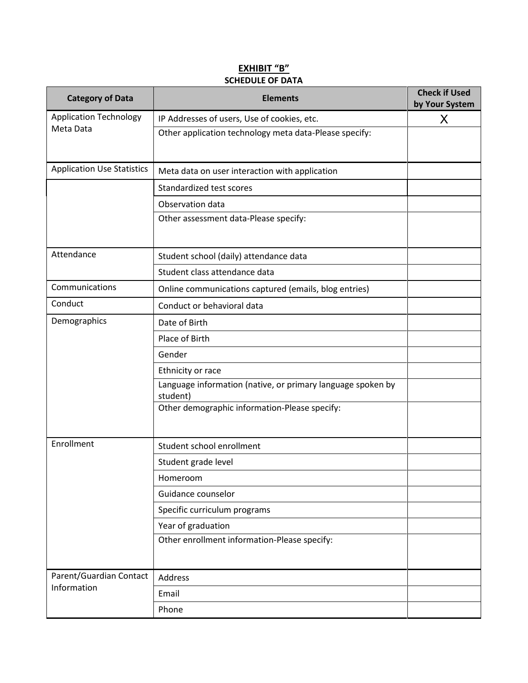#### **EXHIBIT "B" SCHEDULE OF DATA**

| <b>Category of Data</b><br><b>Elements</b> |                                                                         | <b>Check if Used</b><br>by Your System |
|--------------------------------------------|-------------------------------------------------------------------------|----------------------------------------|
| <b>Application Technology</b>              | IP Addresses of users, Use of cookies, etc.                             | X                                      |
| Meta Data                                  | Other application technology meta data-Please specify:                  |                                        |
| <b>Application Use Statistics</b>          | Meta data on user interaction with application                          |                                        |
|                                            | Standardized test scores                                                |                                        |
|                                            | Observation data                                                        |                                        |
|                                            | Other assessment data-Please specify:                                   |                                        |
| Attendance                                 | Student school (daily) attendance data                                  |                                        |
|                                            | Student class attendance data                                           |                                        |
| Communications                             | Online communications captured (emails, blog entries)                   |                                        |
| Conduct                                    | Conduct or behavioral data                                              |                                        |
| Demographics                               | Date of Birth                                                           |                                        |
|                                            | Place of Birth                                                          |                                        |
|                                            | Gender                                                                  |                                        |
|                                            | Ethnicity or race                                                       |                                        |
|                                            | Language information (native, or primary language spoken by<br>student) |                                        |
|                                            | Other demographic information-Please specify:                           |                                        |
| Enrollment                                 | Student school enrollment                                               |                                        |
|                                            | Student grade level                                                     |                                        |
|                                            | Homeroom                                                                |                                        |
|                                            | Guidance counselor                                                      |                                        |
|                                            | Specific curriculum programs                                            |                                        |
|                                            | Year of graduation                                                      |                                        |
|                                            | Other enrollment information-Please specify:                            |                                        |
| Parent/Guardian Contact                    | Address                                                                 |                                        |
| Information                                | Email                                                                   |                                        |
|                                            | Phone                                                                   |                                        |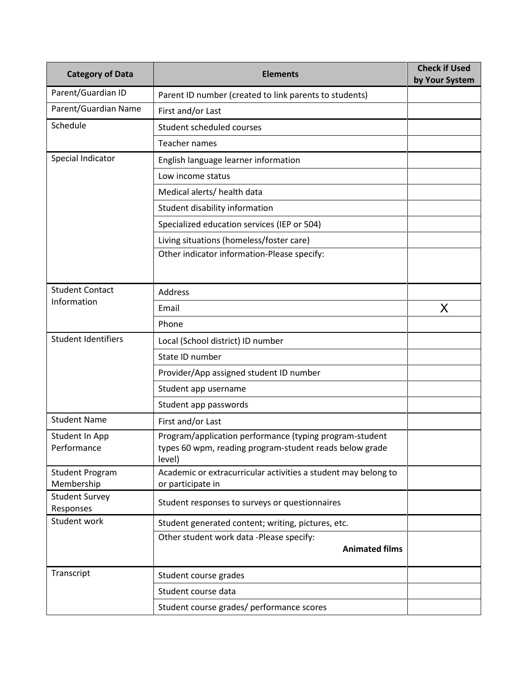| <b>Category of Data</b>              | <b>Elements</b>                                                                                                              | <b>Check if Used</b><br>by Your System |
|--------------------------------------|------------------------------------------------------------------------------------------------------------------------------|----------------------------------------|
| Parent/Guardian ID                   | Parent ID number (created to link parents to students)                                                                       |                                        |
| Parent/Guardian Name                 | First and/or Last                                                                                                            |                                        |
| Schedule                             | Student scheduled courses                                                                                                    |                                        |
|                                      | Teacher names                                                                                                                |                                        |
| Special Indicator                    | English language learner information                                                                                         |                                        |
|                                      | Low income status                                                                                                            |                                        |
|                                      | Medical alerts/ health data                                                                                                  |                                        |
|                                      | Student disability information                                                                                               |                                        |
|                                      | Specialized education services (IEP or 504)                                                                                  |                                        |
|                                      | Living situations (homeless/foster care)                                                                                     |                                        |
|                                      | Other indicator information-Please specify:                                                                                  |                                        |
| <b>Student Contact</b>               | <b>Address</b>                                                                                                               |                                        |
| Information                          | Email                                                                                                                        | X                                      |
|                                      | Phone                                                                                                                        |                                        |
| <b>Student Identifiers</b>           | Local (School district) ID number                                                                                            |                                        |
|                                      | State ID number                                                                                                              |                                        |
|                                      | Provider/App assigned student ID number                                                                                      |                                        |
|                                      | Student app username                                                                                                         |                                        |
|                                      | Student app passwords                                                                                                        |                                        |
| <b>Student Name</b>                  | First and/or Last                                                                                                            |                                        |
| Student In App<br>Performance        | Program/application performance (typing program-student<br>types 60 wpm, reading program-student reads below grade<br>level) |                                        |
| <b>Student Program</b><br>Membership | Academic or extracurricular activities a student may belong to<br>or participate in                                          |                                        |
| <b>Student Survey</b><br>Responses   | Student responses to surveys or questionnaires                                                                               |                                        |
| Student work                         | Student generated content; writing, pictures, etc.                                                                           |                                        |
|                                      | Other student work data -Please specify:<br><b>Animated films</b>                                                            |                                        |
| Transcript                           | Student course grades                                                                                                        |                                        |
|                                      | Student course data                                                                                                          |                                        |
|                                      | Student course grades/ performance scores                                                                                    |                                        |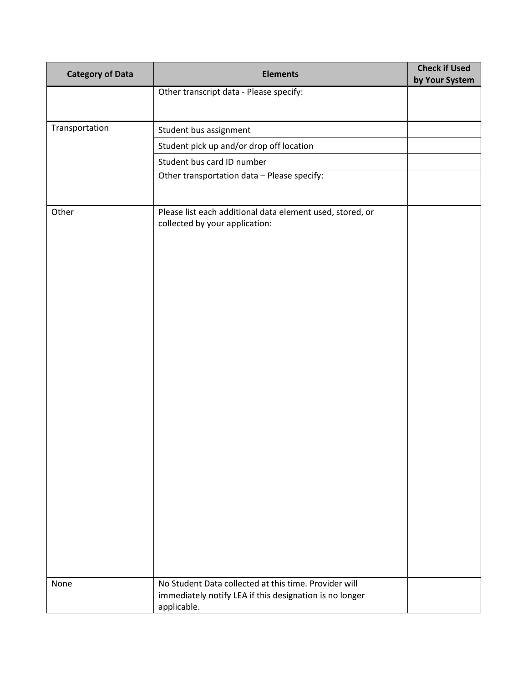| <b>Category of Data</b> | <b>Elements</b>                                                                                                                 | <b>Check if Used</b><br>by Your System |
|-------------------------|---------------------------------------------------------------------------------------------------------------------------------|----------------------------------------|
|                         | Other transcript data - Please specify:                                                                                         |                                        |
|                         |                                                                                                                                 |                                        |
| Transportation          | Student bus assignment                                                                                                          |                                        |
|                         | Student pick up and/or drop off location                                                                                        |                                        |
|                         | Student bus card ID number                                                                                                      |                                        |
|                         | Other transportation data - Please specify:                                                                                     |                                        |
|                         |                                                                                                                                 |                                        |
| Other                   | Please list each additional data element used, stored, or<br>collected by your application:                                     |                                        |
| None                    | No Student Data collected at this time. Provider will<br>immediately notify LEA if this designation is no longer<br>applicable. |                                        |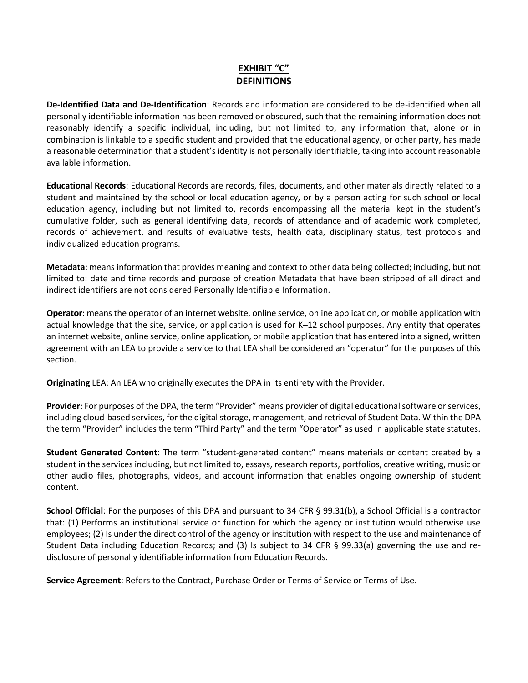#### **EXHIBIT "C" DEFINITIONS**

**DeIdentified Data and DeIdentification**: Records and information are considered to be deidentified when all personally identifiable information has been removed or obscured, such that the remaining information does not reasonably identify a specific individual, including, but not limited to, any information that, alone or in combination is linkable to a specific student and provided that the educational agency, or other party, has made a reasonable determination that a student's identity is not personally identifiable, taking into account reasonable available information.

**Educational Records**: Educational Records are records, files, documents, and other materials directly related to a student and maintained by the school or local education agency, or by a person acting for such school or local education agency, including but not limited to, records encompassing all the material kept in the student's cumulative folder, such as general identifying data, records of attendance and of academic work completed, records of achievement, and results of evaluative tests, health data, disciplinary status, test protocols and individualized education programs.

**Metadata**: means information that provides meaning and context to other data being collected; including, but not limited to: date and time records and purpose of creation Metadata that have been stripped of all direct and indirect identifiers are not considered Personally Identifiable Information.

**Operator**: means the operator of an internet website, online service, online application, or mobile application with actual knowledge that the site, service, or application is used for K–12 school purposes. Any entity that operates an internet website, online service, online application, or mobile application that has entered into a signed, written agreement with an LEA to provide a service to that LEA shall be considered an "operator" for the purposes of this section.

**Originating** LEA: An LEA who originally executes the DPA in its entirety with the Provider.

**Provider**: For purposes of the DPA, the term "Provider" means provider of digital educational software or services, including cloud-based services, for the digital storage, management, and retrieval of Student Data. Within the DPA the term "Provider" includes the term "Third Party" and the term "Operator" as used in applicable state statutes.

**Student Generated Content**: The term "student-generated content" means materials or content created by a student in the services including, but not limited to, essays, research reports, portfolios, creative writing, music or other audio files, photographs, videos, and account information that enables ongoing ownership of student content.

**School Official**: For the purposes of this DPA and pursuant to 34 CFR § 99.31(b), a School Official is a contractor that: (1) Performs an institutional service or function for which the agency or institution would otherwise use employees; (2) Is under the direct control of the agency or institution with respect to the use and maintenance of Student Data including Education Records; and (3) Is subject to 34 CFR § 99.33(a) governing the use and redisclosure of personally identifiable information from Education Records.

**Service Agreement**: Refers to the Contract, Purchase Order or Terms of Service or Terms of Use.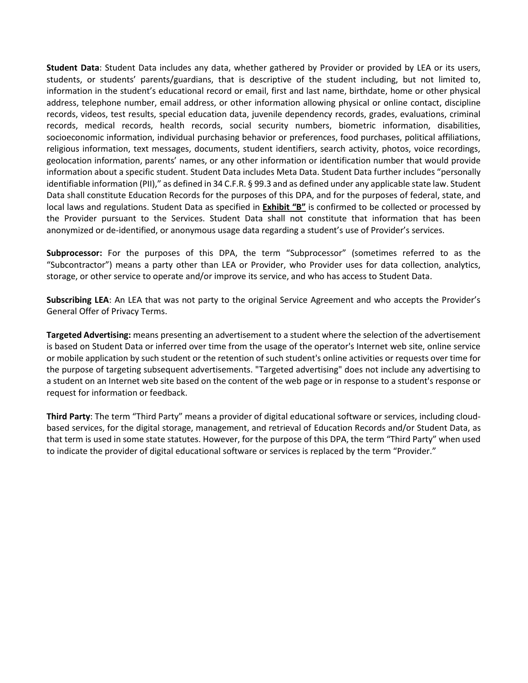**Student Data**: Student Data includes any data, whether gathered by Provider or provided by LEA or its users, students, or students' parents/guardians, that is descriptive of the student including, but not limited to, information in the student's educational record or email, first and last name, birthdate, home or other physical address, telephone number, email address, or other information allowing physical or online contact, discipline records, videos, test results, special education data, juvenile dependency records, grades, evaluations, criminal records, medical records, health records, social security numbers, biometric information, disabilities, socioeconomic information, individual purchasing behavior or preferences, food purchases, political affiliations, religious information, text messages, documents, student identifiers, search activity, photos, voice recordings, geolocation information, parents' names, or any other information or identification number that would provide information about a specific student. Student Data includes Meta Data. Student Data further includes "personally identifiable information (PII)," as defined in 34 C.F.R. § 99.3 and as defined under any applicable state law. Student Data shall constitute Education Records for the purposes of this DPA, and for the purposes of federal, state, and local laws and regulations. Student Data as specified in **Exhibit "B"** is confirmed to be collected or processed by the Provider pursuant to the Services. Student Data shall not constitute that information that has been anonymized or de-identified, or anonymous usage data regarding a student's use of Provider's services.

**Subprocessor:** For the purposes of this DPA, the term "Subprocessor" (sometimes referred to as the "Subcontractor") means a party other than LEA or Provider, who Provider uses for data collection, analytics, storage, or other service to operate and/or improve its service, and who has access to Student Data.

**Subscribing LEA**: An LEA that was not party to the original Service Agreement and who accepts the Provider's General Offer of Privacy Terms.

**Targeted Advertising:** means presenting an advertisement to a student where the selection of the advertisement is based on Student Data or inferred over time from the usage of the operator's Internet web site, online service or mobile application by such student or the retention of such student's online activities or requests over time for the purpose of targeting subsequent advertisements. "Targeted advertising" does not include any advertising to a student on an Internet web site based on the content of the web page or in response to a student's response or request for information or feedback.

**Third Party**: The term "Third Party" means a provider of digital educational software or services, including cloudbased services, for the digital storage, management, and retrieval of Education Records and/or Student Data, as that term is used in some state statutes. However, for the purpose of this DPA, the term "Third Party" when used to indicate the provider of digital educational software or services is replaced by the term "Provider."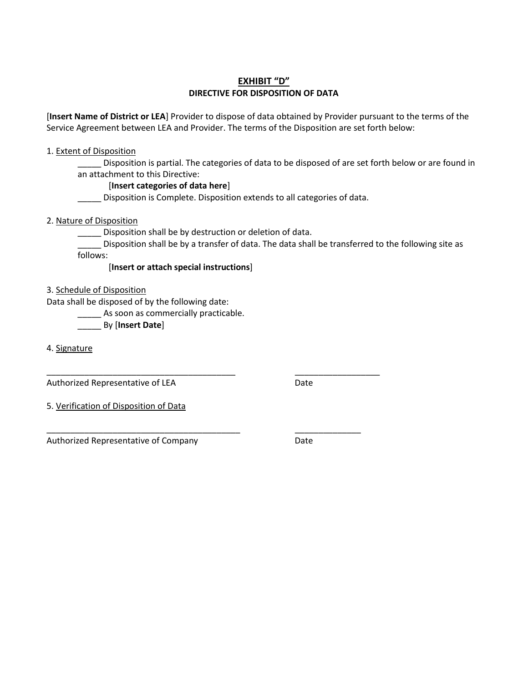#### **EXHIBIT "D" DIRECTIVE FOR DISPOSITION OF DATA**

[**Insert Name of District or LEA**] Provider to dispose of data obtained by Provider pursuant to the terms of the Service Agreement between LEA and Provider. The terms of the Disposition are set forth below:

#### 1. Extent of Disposition

Disposition is partial. The categories of data to be disposed of are set forth below or are found in an attachment to this Directive:

#### [**Insert categories of data here**]

\_\_\_\_\_ Disposition is Complete. Disposition extends to all categories of data.

#### 2. Nature of Disposition

\_\_\_\_\_ Disposition shall be by destruction or deletion of data.

\_\_\_\_\_\_\_\_\_\_\_\_\_\_\_\_\_\_\_\_\_\_\_\_\_\_\_\_\_\_\_\_\_\_\_\_\_\_\_\_ \_\_\_\_\_\_\_\_\_\_\_\_\_\_\_\_\_\_

\_\_\_\_\_\_\_\_\_\_\_\_\_\_\_\_\_\_\_\_\_\_\_\_\_\_\_\_\_\_\_\_\_\_\_\_\_\_\_\_\_ \_\_\_\_\_\_\_\_\_\_\_\_\_\_

\_\_\_\_\_ Disposition shall be by a transfer of data. The data shall be transferred to the following site as follows:

[**Insert or attach special instructions**]

3. Schedule of Disposition

Data shall be disposed of by the following date:

\_\_\_\_\_ As soon as commercially practicable.

\_\_\_\_\_ By [**Insert Date**]

4. Signature

Authorized Representative of LEA Date

5. Verification of Disposition of Data

Authorized Representative of Company **Base** Date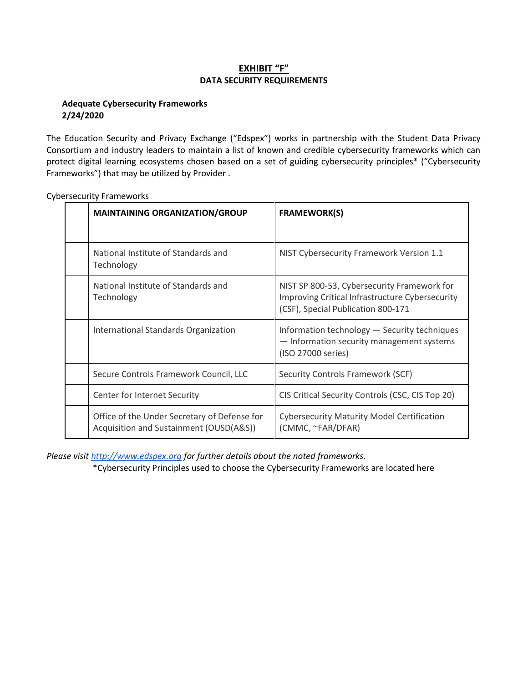#### **EXHIBIT "F" DATA SECURITY REQUIREMENTS**

#### **Adequate Cybersecurity Frameworks 2/24/2020**

The Education Security and Privacy Exchange ("Edspex") works in partnership with the Student Data Privacy Consortium and industry leaders to maintain a list of known and credible cybersecurity frameworks which can protect digital learning ecosystems chosen based on a set of guiding cybersecurity principles\* ("Cybersecurity Frameworks") that may be utilized by Provider .

| <b>MAINTAINING ORGANIZATION/GROUP</b>                                                   | <b>FRAMEWORK(S)</b>                                                                                                                  |
|-----------------------------------------------------------------------------------------|--------------------------------------------------------------------------------------------------------------------------------------|
| National Institute of Standards and<br>Technology                                       | NIST Cybersecurity Framework Version 1.1                                                                                             |
| National Institute of Standards and<br>Technology                                       | NIST SP 800-53, Cybersecurity Framework for<br>Improving Critical Infrastructure Cybersecurity<br>(CSF), Special Publication 800-171 |
| International Standards Organization                                                    | Information technology - Security techniques<br>- Information security management systems<br>(ISO 27000 series)                      |
| Secure Controls Framework Council, LLC                                                  | Security Controls Framework (SCF)                                                                                                    |
| Center for Internet Security                                                            | CIS Critical Security Controls (CSC, CIS Top 20)                                                                                     |
| Office of the Under Secretary of Defense for<br>Acquisition and Sustainment (OUSD(A&S)) | <b>Cybersecurity Maturity Model Certification</b><br>(CMMC, ~FAR/DFAR)                                                               |

Cybersecurity Frameworks

*Please visit http://www.edspex.org for further details about the noted frameworks.*

\*Cybersecurity Principles used to choose the Cybersecurity Frameworks are located here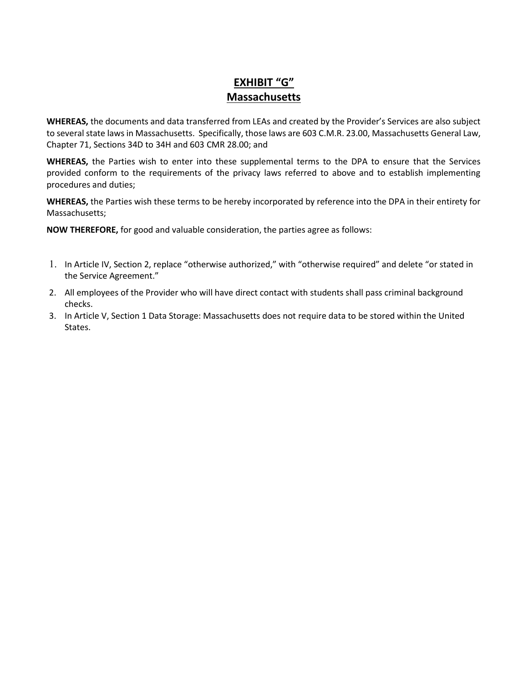## **EXHIBIT "G" Massachusetts**

**WHEREAS,** the documents and data transferred from LEAs and created by the Provider's Services are also subject to several state laws in Massachusetts. Specifically, those laws are 603 C.M.R. 23.00, Massachusetts General Law, Chapter 71, Sections 34D to 34H and 603 CMR 28.00; and

**WHEREAS,** the Parties wish to enter into these supplemental terms to the DPA to ensure that the Services provided conform to the requirements of the privacy laws referred to above and to establish implementing procedures and duties;

**WHEREAS,** the Parties wish these terms to be hereby incorporated by reference into the DPA in their entirety for Massachusetts;

- 1. In Article IV, Section 2, replace "otherwise authorized," with "otherwise required" and delete "or stated in the Service Agreement."
- 2. All employees of the Provider who will have direct contact with students shall pass criminal background checks.
- 3. In Article V, Section 1 Data Storage: Massachusetts does not require data to be stored within the United States.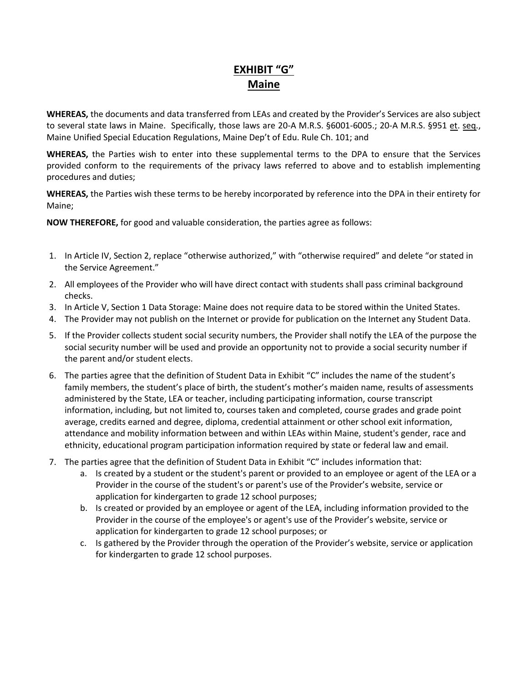## **EXHIBIT "G" Maine**

**WHEREAS,** the documents and data transferred from LEAs and created by the Provider's Services are also subject to several state laws in Maine. Specifically, those laws are 20-A M.R.S. §6001-6005.; 20-A M.R.S. §951 et. seq., Maine Unified Special Education Regulations, Maine Dep't of Edu. Rule Ch. 101; and

**WHEREAS,** the Parties wish to enter into these supplemental terms to the DPA to ensure that the Services provided conform to the requirements of the privacy laws referred to above and to establish implementing procedures and duties;

**WHEREAS,** the Parties wish these terms to be hereby incorporated by reference into the DPA in their entirety for Maine;

- 1. In Article IV, Section 2, replace "otherwise authorized," with "otherwise required" and delete "or stated in the Service Agreement."
- 2. All employees of the Provider who will have direct contact with students shall pass criminal background checks.
- 3. In Article V, Section 1 Data Storage: Maine does not require data to be stored within the United States.
- 4. The Provider may not publish on the Internet or provide for publication on the Internet any Student Data.
- 5. If the Provider collects student social security numbers, the Provider shall notify the LEA of the purpose the social security number will be used and provide an opportunity not to provide a social security number if the parent and/or student elects.
- 6. The parties agree that the definition of Student Data in Exhibit "C" includes the name of the student's family members, the student's place of birth, the student's mother's maiden name, results of assessments administered by the State, LEA or teacher, including participating information, course transcript information, including, but not limited to, courses taken and completed, course grades and grade point average, credits earned and degree, diploma, credential attainment or other school exit information, attendance and mobility information between and within LEAs within Maine, student's gender, race and ethnicity, educational program participation information required by state or federal law and email.
- 7. The parties agree that the definition of Student Data in Exhibit "C" includes information that:
	- a. Is created by a student or the student's parent or provided to an employee or agent of the LEA or a Provider in the course of the student's or parent's use of the Provider's website, service or application for kindergarten to grade 12 school purposes;
	- b. Is created or provided by an employee or agent of the LEA, including information provided to the Provider in the course of the employee's or agent's use of the Provider's website, service or application for kindergarten to grade 12 school purposes; or
	- c. Is gathered by the Provider through the operation of the Provider's website, service or application for kindergarten to grade 12 school purposes.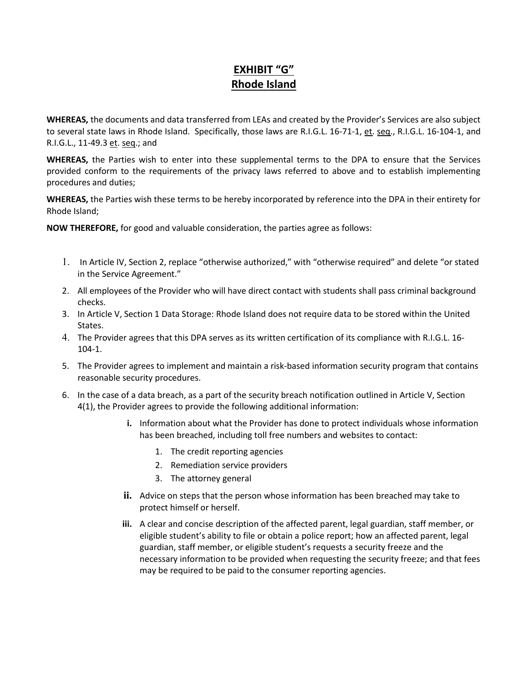## **EXHIBIT "G" Rhode Island**

**WHEREAS,** the documents and data transferred from LEAs and created by the Provider's Services are also subject to several state laws in Rhode Island. Specifically, those laws are R.I.G.L. 16-71-1, et. seq., R.I.G.L. 16-104-1, and R.I.G.L., 11-49.3 et. seq.; and

**WHEREAS,** the Parties wish to enter into these supplemental terms to the DPA to ensure that the Services provided conform to the requirements of the privacy laws referred to above and to establish implementing procedures and duties;

**WHEREAS,** the Parties wish these terms to be hereby incorporated by reference into the DPA in their entirety for Rhode Island;

- 1. In Article IV, Section 2, replace "otherwise authorized," with "otherwise required" and delete "or stated in the Service Agreement."
- 2. All employees of the Provider who will have direct contact with students shall pass criminal background checks.
- 3. In Article V, Section 1 Data Storage: Rhode Island does not require data to be stored within the United States.
- 4. The Provider agrees that this DPA serves as its written certification of its compliance with R.I.G.L. 16 104-1.
- 5. The Provider agrees to implement and maintain a risk-based information security program that contains reasonable security procedures.
- 6. In the case of a data breach, as a part of the security breach notification outlined in Article V, Section 4(1), the Provider agrees to provide the following additional information:
	- **i.** Information about what the Provider has done to protect individuals whose information has been breached, including toll free numbers and websites to contact:
		- 1. The credit reporting agencies
		- 2. Remediation service providers
		- 3. The attorney general
	- **ii.** Advice on steps that the person whose information has been breached may take to protect himself or herself.
	- **iii.** A clear and concise description of the affected parent, legal guardian, staff member, or eligible student's ability to file or obtain a police report; how an affected parent, legal guardian, staff member, or eligible student's requests a security freeze and the necessary information to be provided when requesting the security freeze; and that fees may be required to be paid to the consumer reporting agencies.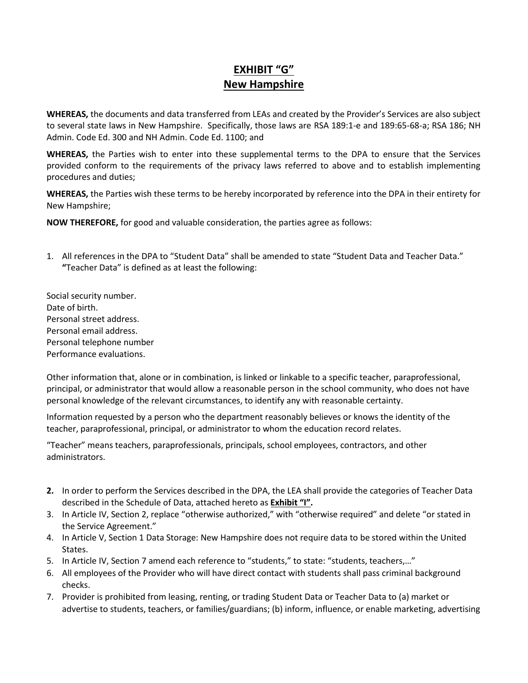## **EXHIBIT "G" New Hampshire**

**WHEREAS,** the documents and data transferred from LEAs and created by the Provider's Services are also subject to several state laws in New Hampshire. Specifically, those laws are RSA 189:1-e and 189:65-68-a; RSA 186; NH Admin. Code Ed. 300 and NH Admin. Code Ed. 1100; and

**WHEREAS,** the Parties wish to enter into these supplemental terms to the DPA to ensure that the Services provided conform to the requirements of the privacy laws referred to above and to establish implementing procedures and duties;

**WHEREAS,** the Parties wish these terms to be hereby incorporated by reference into the DPA in their entirety for New Hampshire;

**NOW THEREFORE,** for good and valuable consideration, the parties agree as follows:

- 1. All references in the DPA to "Student Data" shall be amended to state "Student Data and Teacher Data." **"**Teacher Data" is defined as at least the following:
- Social security number. Date of birth. Personal street address. Personal email address. Personal telephone number Performance evaluations.

Other information that, alone or in combination, is linked or linkable to a specific teacher, paraprofessional, principal, or administrator that would allow a reasonable person in the school community, who does not have personal knowledge of the relevant circumstances, to identify any with reasonable certainty.

Information requested by a person who the department reasonably believes or knows the identity of the teacher, paraprofessional, principal, or administrator to whom the education record relates.

"Teacher" means teachers, paraprofessionals, principals, school employees, contractors, and other administrators.

- **2.** In order to perform the Services described in the DPA, the LEA shall provide the categories of Teacher Data described in the Schedule of Data, attached hereto as **Exhibit "I".**
- 3. In Article IV, Section 2, replace "otherwise authorized," with "otherwise required" and delete "or stated in the Service Agreement."
- 4. In Article V, Section 1 Data Storage: New Hampshire does not require data to be stored within the United States.
- 5. In Article IV, Section 7 amend each reference to "students," to state: "students, teachers,…"
- 6. All employees of the Provider who will have direct contact with students shall pass criminal background checks.
- 7. Provider is prohibited from leasing, renting, or trading Student Data or Teacher Data to (a) market or advertise to students, teachers, or families/guardians; (b) inform, influence, or enable marketing, advertising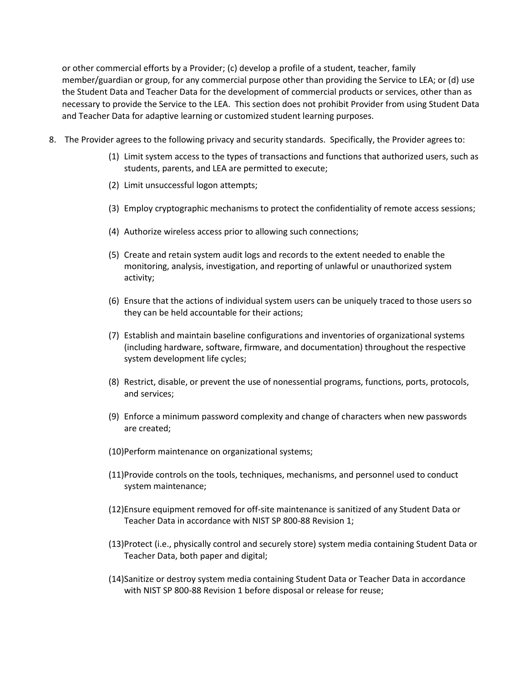or other commercial efforts by a Provider; (c) develop a profile of a student, teacher, family member/guardian or group, for any commercial purpose other than providing the Service to LEA; or (d) use the Student Data and Teacher Data for the development of commercial products or services, other than as necessary to provide the Service to the LEA. This section does not prohibit Provider from using Student Data and Teacher Data for adaptive learning or customized student learning purposes.

- 8. The Provider agrees to the following privacy and security standards. Specifically, the Provider agrees to:
	- (1) Limit system access to the types of transactions and functions that authorized users, such as students, parents, and LEA are permitted to execute;
	- (2) Limit unsuccessful logon attempts;
	- (3) Employ cryptographic mechanisms to protect the confidentiality of remote access sessions;
	- (4) Authorize wireless access prior to allowing such connections;
	- (5) Create and retain system audit logs and records to the extent needed to enable the monitoring, analysis, investigation, and reporting of unlawful or unauthorized system activity;
	- (6) Ensure that the actions of individual system users can be uniquely traced to those users so they can be held accountable for their actions;
	- (7) Establish and maintain baseline configurations and inventories of organizational systems (including hardware, software, firmware, and documentation) throughout the respective system development life cycles;
	- (8) Restrict, disable, or prevent the use of nonessential programs, functions, ports, protocols, and services;
	- (9) Enforce a minimum password complexity and change of characters when new passwords are created;
	- (10)Perform maintenance on organizational systems;
	- (11)Provide controls on the tools, techniques, mechanisms, and personnel used to conduct system maintenance;
	- (12)Ensure equipment removed for off-site maintenance is sanitized of any Student Data or Teacher Data in accordance with NIST SP 800-88 Revision 1;
	- (13)Protect (i.e., physically control and securely store) system media containing Student Data or Teacher Data, both paper and digital;
	- (14)Sanitize or destroy system media containing Student Data or Teacher Data in accordance with NIST SP 800-88 Revision 1 before disposal or release for reuse;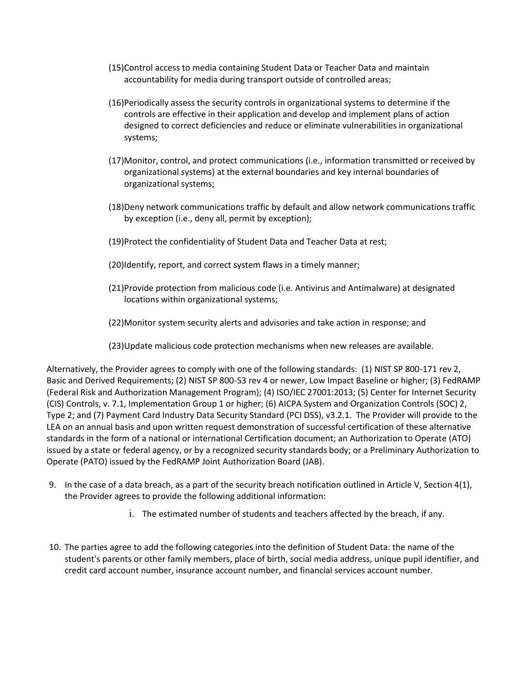- (15)Control access to media containing Student Data or Teacher Data and maintain accountability for media during transport outside of controlled areas;
- (16)Periodically assess the security controls in organizational systems to determine if the controls are effective in their application and develop and implement plans of action designed to correct deficiencies and reduce or eliminate vulnerabilities in organizational systems;
- (17)Monitor, control, and protect communications (i.e., information transmitted or received by organizational systems) at the external boundaries and key internal boundaries of organizational systems;
- (18)Deny network communications traffic by default and allow network communications traffic by exception (i.e., deny all, permit by exception);
- (19)Protect the confidentiality of Student Data and Teacher Data at rest;
- (20)Identify, report, and correct system flaws in a timely manner;
- (21)Provide protection from malicious code (i.e. Antivirus and Antimalware) at designated locations within organizational systems;
- (22)Monitor system security alerts and advisories and take action in response; and
- (23)Update malicious code protection mechanisms when new releases are available.

Alternatively, the Provider agrees to comply with one of the following standards: (1) NIST SP 800-171 rev 2, Basic and Derived Requirements; (2) NIST SP 800-53 rev 4 or newer, Low Impact Baseline or higher; (3) FedRAMP (Federal Risk and Authorization Management Program); (4) ISO/IEC 27001:2013; (5) Center for Internet Security (CIS) Controls, v. 7.1, Implementation Group 1 or higher; (6) AICPA System and Organization Controls (SOC) 2, Type 2; and (7) Payment Card Industry Data Security Standard (PCI DSS), v3.2.1. The Provider will provide to the LEA on an annual basis and upon written request demonstration of successful certification of these alternative standards in the form of a national or international Certification document; an Authorization to Operate (ATO) issued by a state or federal agency, or by a recognized security standards body; or a Preliminary Authorization to Operate (PATO) issued by the FedRAMP Joint Authorization Board (JAB).

- 9. In the case of a data breach, as a part of the security breach notification outlined in Article V, Section 4(1), the Provider agrees to provide the following additional information:
	- i. The estimated number of students and teachers affected by the breach, if any.
- 10. The parties agree to add the following categories into the definition of Student Data: the name of the student's parents or other family members, place of birth, social media address, unique pupil identifier, and credit card account number, insurance account number, and financial services account number.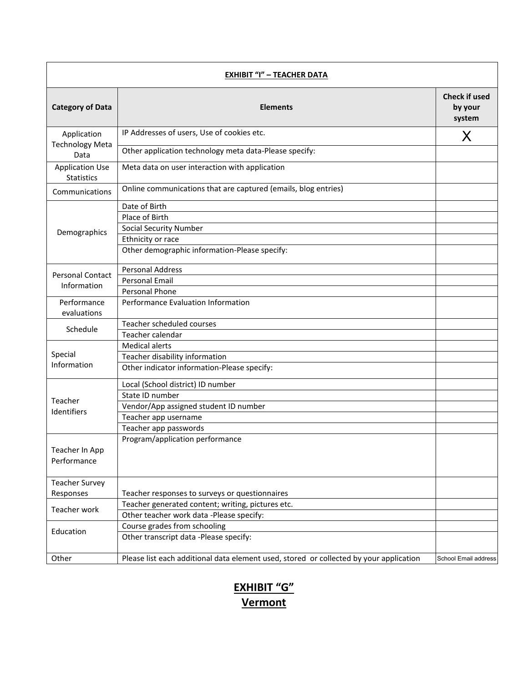| <b>EXHIBIT "I" - TEACHER DATA</b>           |                                                                                        |                                           |
|---------------------------------------------|----------------------------------------------------------------------------------------|-------------------------------------------|
| <b>Category of Data</b>                     | <b>Elements</b>                                                                        | <b>Check if used</b><br>by your<br>system |
| Application                                 | IP Addresses of users, Use of cookies etc.                                             | X                                         |
| <b>Technology Meta</b><br>Data              | Other application technology meta data-Please specify:                                 |                                           |
| <b>Application Use</b><br><b>Statistics</b> | Meta data on user interaction with application                                         |                                           |
| Communications                              | Online communications that are captured (emails, blog entries)                         |                                           |
|                                             | Date of Birth                                                                          |                                           |
|                                             | Place of Birth                                                                         |                                           |
| Demographics                                | <b>Social Security Number</b>                                                          |                                           |
|                                             | Ethnicity or race                                                                      |                                           |
|                                             | Other demographic information-Please specify:                                          |                                           |
| <b>Personal Contact</b>                     | <b>Personal Address</b>                                                                |                                           |
| Information                                 | Personal Email                                                                         |                                           |
|                                             | Personal Phone                                                                         |                                           |
| Performance<br>evaluations                  | Performance Evaluation Information                                                     |                                           |
|                                             | Teacher scheduled courses                                                              |                                           |
| Schedule                                    | Teacher calendar                                                                       |                                           |
|                                             | <b>Medical alerts</b>                                                                  |                                           |
| Special                                     | Teacher disability information                                                         |                                           |
| Information                                 | Other indicator information-Please specify:                                            |                                           |
|                                             | Local (School district) ID number                                                      |                                           |
|                                             | State ID number                                                                        |                                           |
| Teacher<br>Identifiers                      | Vendor/App assigned student ID number                                                  |                                           |
|                                             | Teacher app username                                                                   |                                           |
|                                             | Teacher app passwords                                                                  |                                           |
| Teacher In App<br>Performance               | Program/application performance                                                        |                                           |
| <b>Teacher Survey</b>                       |                                                                                        |                                           |
| Responses                                   | Teacher responses to surveys or questionnaires                                         |                                           |
| Teacher work                                | Teacher generated content; writing, pictures etc.                                      |                                           |
|                                             | Other teacher work data -Please specify:                                               |                                           |
| Education                                   | Course grades from schooling                                                           |                                           |
|                                             | Other transcript data -Please specify:                                                 |                                           |
| Other                                       | Please list each additional data element used, stored or collected by your application | School Email address                      |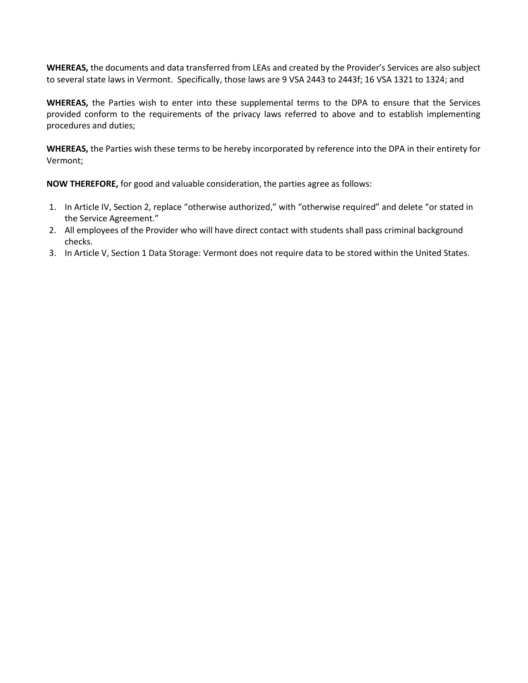**WHEREAS,** the documents and data transferred from LEAs and created by the Provider's Services are also subject to several state laws in Vermont. Specifically, those laws are 9 VSA 2443 to 2443f; 16 VSA 1321 to 1324; and

**WHEREAS,** the Parties wish to enter into these supplemental terms to the DPA to ensure that the Services provided conform to the requirements of the privacy laws referred to above and to establish implementing procedures and duties;

**WHEREAS,** the Parties wish these terms to be hereby incorporated by reference into the DPA in their entirety for Vermont;

- 1. In Article IV, Section 2, replace "otherwise authorized," with "otherwise required" and delete "or stated in the Service Agreement."
- 2. All employees of the Provider who will have direct contact with students shall pass criminal background checks.
- 3. In Article V, Section 1 Data Storage: Vermont does not require data to be stored within the United States.